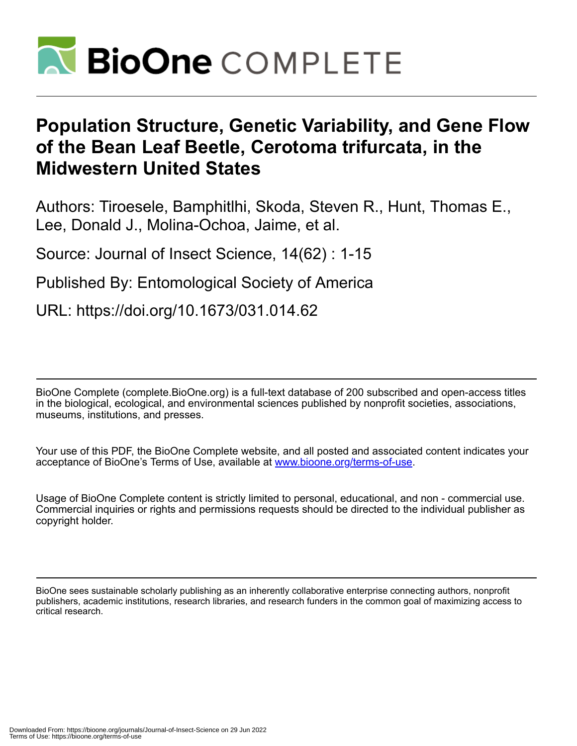

# **Population Structure, Genetic Variability, and Gene Flow of the Bean Leaf Beetle, Cerotoma trifurcata, in the Midwestern United States**

Authors: Tiroesele, Bamphitlhi, Skoda, Steven R., Hunt, Thomas E., Lee, Donald J., Molina-Ochoa, Jaime, et al.

Source: Journal of Insect Science, 14(62) : 1-15

Published By: Entomological Society of America

URL: https://doi.org/10.1673/031.014.62

BioOne Complete (complete.BioOne.org) is a full-text database of 200 subscribed and open-access titles in the biological, ecological, and environmental sciences published by nonprofit societies, associations, museums, institutions, and presses.

Your use of this PDF, the BioOne Complete website, and all posted and associated content indicates your acceptance of BioOne's Terms of Use, available at www.bioone.org/terms-of-use.

Usage of BioOne Complete content is strictly limited to personal, educational, and non - commercial use. Commercial inquiries or rights and permissions requests should be directed to the individual publisher as copyright holder.

BioOne sees sustainable scholarly publishing as an inherently collaborative enterprise connecting authors, nonprofit publishers, academic institutions, research libraries, and research funders in the common goal of maximizing access to critical research.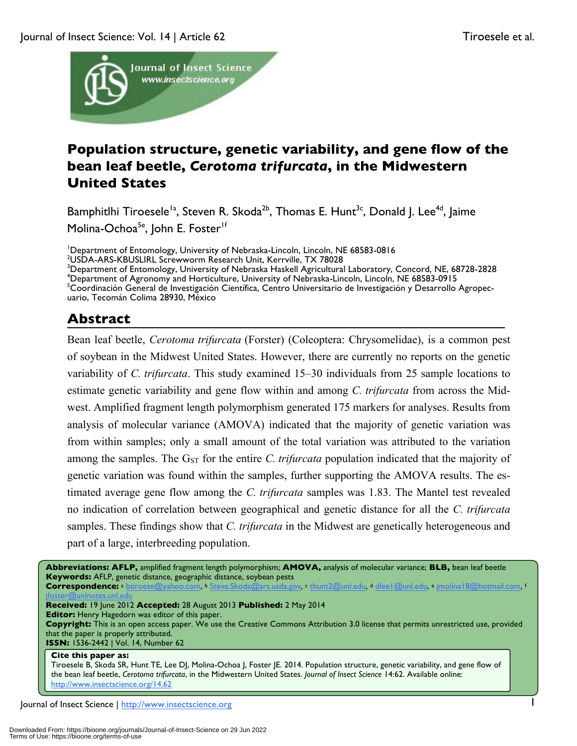

## **Population structure, genetic variability, and gene flow of the bean leaf beetle,** *Cerotoma trifurcata***, in the Midwestern United States**

Bamphitlhi Tiroesele<sup>1a</sup>, Steven R. Skoda<sup>2b</sup>, Thomas E. Hunt<sup>3c</sup>, Donald J. Lee<sup>4d</sup>, Jaime Molina-Ochoa<sup>5e</sup>, John E. Foster<sup>1f</sup>

<sup>1</sup>Department of Entomology, University of Nebraska-Lincoln, Lincoln, NE 68583-0816<br><sup>21</sup>JSDA ARS KRUSURU Serounyorm Research Unit Kernville, TV 79029

USDA-ARS-KBUSLIRL Screwworm Research Unit, Kerrville, TX 78028 <sup>3</sup>

<sup>3</sup>Department of Entomology, University of Nebraska Haskell Agricultural Laboratory, Concord, NE, 68728-2828  $^4$ Department of Agronomy and Horticulture, University of Nebraska-Lincoln, Lincoln, NE 68583-0915

<sup>5</sup>Coordinación General de Investigación Científica, Centro Universitario de Investigación y Desarrollo Agropecuario, Tecomán Colima 28930, México

### **Abstract**

Bean leaf beetle, *Cerotoma trifurcata* (Forster) (Coleoptera: Chrysomelidae), is a common pest of soybean in the Midwest United States. However, there are currently no reports on the genetic variability of *C. trifurcata*. This study examined 15–30 individuals from 25 sample locations to estimate genetic variability and gene flow within and among *C. trifurcata* from across the Midwest. Amplified fragment length polymorphism generated 175 markers for analyses. Results from analysis of molecular variance (AMOVA) indicated that the majority of genetic variation was from within samples; only a small amount of the total variation was attributed to the variation among the samples. The  $G_{ST}$  for the entire *C. trifurcata* population indicated that the majority of genetic variation was found within the samples, further supporting the AMOVA results. The estimated average gene flow among the *C. trifurcata* samples was 1.83. The Mantel test revealed no indication of correlation between geographical and genetic distance for all the *C. trifurcata*  samples. These findings show that *C. trifurcata* in the Midwest are genetically heterogeneous and part of a large, interbreeding population.

**Abbreviations: AFLP,** amplified fragment length polymorphism; **AMOVA,** analysis of molecular variance; **BLB,** bean leaf beetle **Keywords:** AFLP, genetic distance, geographic distance, soybean pests **Correspondence:** <sup>a</sup> btiroese@yahoo.com, b Steve.Skoda@ars.usda.gov, c thunt2@unl.edu, d dlee1@unl.edu, e jmolina18@hotmail.com, f jfoster@unlnotes.unl.edu **Received:** 19 June 2012 **Accepted:** 28 August 2013 **Published:** 2 May 2014 **Editor:** Henry Hagedorn was editor of this paper. **Copyright:** This is an open access paper. We use the Creative Commons Attribution 3.0 license that permits unrestricted use, provided that the paper is properly attributed. **ISSN:** 1536-2442 | Vol. 14, Number 62 **Cite this paper as:** Tiroesele B, Skoda SR, Hunt TE, Lee DJ, Molina-Ochoa J, Foster JE. 2014. Population structure, genetic variability, and gene flow of the bean leaf beetle, *Cerotoma trifurcata*, in the Midwestern United States. *Journal of Insect Science* 14:62. Available online: http://www.insectscience.org/14.62

Journal of Insect Science | http://www.insectscience.org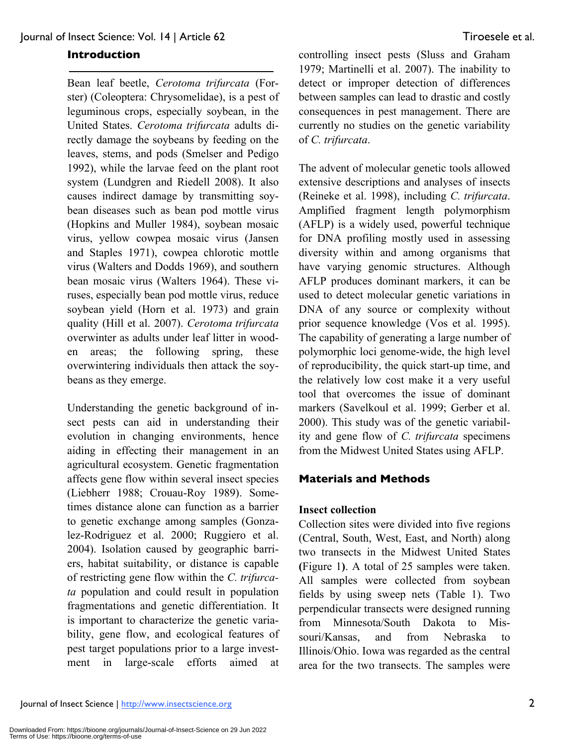### **Introduction**

Bean leaf beetle, *Cerotoma trifurcata* (Forster) (Coleoptera: Chrysomelidae), is a pest of leguminous crops, especially soybean, in the United States. *Cerotoma trifurcata* adults directly damage the soybeans by feeding on the leaves, stems, and pods (Smelser and Pedigo 1992), while the larvae feed on the plant root system (Lundgren and Riedell 2008). It also causes indirect damage by transmitting soybean diseases such as bean pod mottle virus (Hopkins and Muller 1984), soybean mosaic virus, yellow cowpea mosaic virus (Jansen and Staples 1971), cowpea chlorotic mottle virus (Walters and Dodds 1969), and southern bean mosaic virus (Walters 1964). These viruses, especially bean pod mottle virus, reduce soybean yield (Horn et al. 1973) and grain quality (Hill et al. 2007). *Cerotoma trifurcata* overwinter as adults under leaf litter in wooden areas; the following spring, these overwintering individuals then attack the soybeans as they emerge.

Understanding the genetic background of insect pests can aid in understanding their evolution in changing environments, hence aiding in effecting their management in an agricultural ecosystem. Genetic fragmentation affects gene flow within several insect species (Liebherr 1988; Crouau-Roy 1989). Sometimes distance alone can function as a barrier to genetic exchange among samples (Gonzalez-Rodriguez et al. 2000; Ruggiero et al. 2004). Isolation caused by geographic barriers, habitat suitability, or distance is capable of restricting gene flow within the *C. trifurcata* population and could result in population fragmentations and genetic differentiation. It is important to characterize the genetic variability, gene flow, and ecological features of pest target populations prior to a large investment in large-scale efforts aimed at

controlling insect pests (Sluss and Graham 1979; Martinelli et al. 2007). The inability to detect or improper detection of differences between samples can lead to drastic and costly consequences in pest management. There are currently no studies on the genetic variability of *C. trifurcata*.

The advent of molecular genetic tools allowed extensive descriptions and analyses of insects (Reineke et al. 1998), including *C. trifurcata*. Amplified fragment length polymorphism (AFLP) is a widely used, powerful technique for DNA profiling mostly used in assessing diversity within and among organisms that have varying genomic structures. Although AFLP produces dominant markers, it can be used to detect molecular genetic variations in DNA of any source or complexity without prior sequence knowledge (Vos et al. 1995). The capability of generating a large number of polymorphic loci genome-wide, the high level of reproducibility, the quick start-up time, and the relatively low cost make it a very useful tool that overcomes the issue of dominant markers (Savelkoul et al. 1999; Gerber et al. 2000). This study was of the genetic variability and gene flow of *C. trifurcata* specimens from the Midwest United States using AFLP.

### **Materials and Methods**

### **Insect collection**

Collection sites were divided into five regions (Central, South, West, East, and North) along two transects in the Midwest United States **(**Figure 1**)**. A total of 25 samples were taken. All samples were collected from soybean fields by using sweep nets (Table 1). Two perpendicular transects were designed running from Minnesota/South Dakota to Missouri/Kansas, and from Nebraska to Illinois/Ohio. Iowa was regarded as the central area for the two transects. The samples were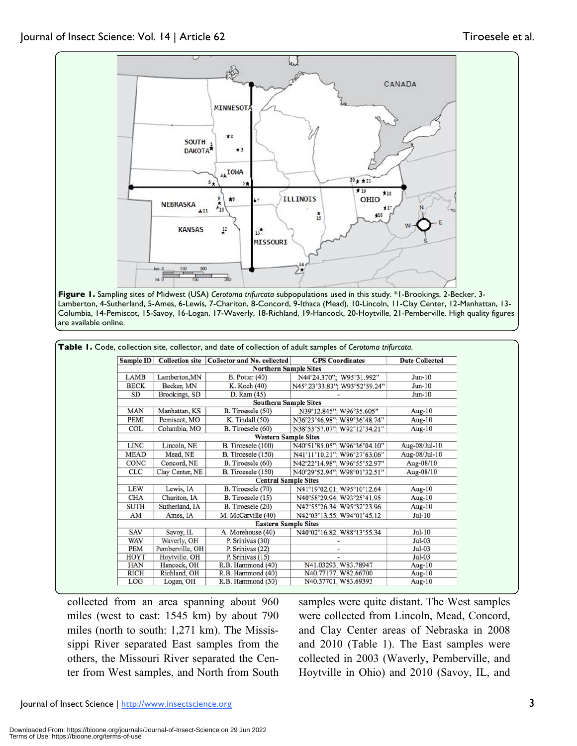

**Figure 1.** Sampling sites of Midwest (USA) *Cerotoma trifurcata* subpopulations used in this study. \*1-Brookings, 2-Becker, 3- Lamberton, 4-Sutherland, 5-Ames, 6-Lewis, 7-Chariton, 8-Concord, 9-Ithaca (Mead), 10-Lincoln, 11-Clay Center, 12-Manhattan, 13- Columbia, 14-Pemiscot, 15-Savoy, 16-Logan, 17-Waverly, 18-Richland, 19-Hancock, 20-Hoytville, 21-Pemberville. High quality figures are available online.

| Sample ID   |                 | Collection site   Collector and No. collected | <b>GPS</b> Coordinates        | <b>Date Collected</b> |
|-------------|-----------------|-----------------------------------------------|-------------------------------|-----------------------|
|             |                 | <b>Northern Sample Sites</b>                  |                               |                       |
| LAMB        | Lamberton, MN   | <b>B.</b> Potter (40)                         | N44°24.370"; W95°31.992"      | $Jun-10$              |
| <b>BECK</b> | Becker, MN      | K. Koch (40)                                  | N45° 23'33.83"; W93°52'59.24" | $Jun-10$              |
| <b>SD</b>   | Brookings, SD   | D. Ram (45)                                   |                               | $Jun-10$              |
|             |                 | <b>Southern Sample Sites</b>                  |                               |                       |
| <b>MAN</b>  | Manhattan, KS   | B. Tiroesele (50)                             | N39°12.845"; W96°35.605"      | Aug-10                |
| PEMI        | Pemiscot, MO    | K. Tindall $(50)$                             | N36°23'46.98"; W89°36'48.74"  | Aug-10                |
| <b>COL</b>  | Columbia, MO    | B. Tiroesele (60)                             | N38°53'57.07"; W92°12'34.21"  | Aug-10                |
|             |                 | <b>Western Sample Sites</b>                   |                               |                       |
| <b>LINC</b> | Lincoln, NE     | B. Tiroesele (100)                            | N40°51'85.05"; W96°36'04.10"  | Aug-08/Jul-10         |
| <b>MEAD</b> | Mead, NE        | B. Tiroesele (150)                            | N41°11'10.21"; W96°27'63.06"  | Aug-08/Jul-10         |
| CONC        | Concord, NE     | B. Tiroesele (60)                             | N42°22'14.98": W96°55'52.97"  | Aug-08/10             |
| CLC         | Clay Center, NE | B. Tiroesele (150)                            | N40°29'52.94": W98°01'32.51"  | Aug-08/10             |
|             |                 | <b>Central Sample Sites</b>                   |                               |                       |
| <b>LEW</b>  | Lewis, IA       | B. Tiroesele (70)                             | N41°19'02.01; W95°10'12.64    | Aug-10                |
| <b>CHA</b>  | Chariton, IA    | B. Tiroesele (15)                             | N40°58'29.94; W93°25'41.95    | Aug- $10$             |
| <b>SUTH</b> | Sutherland, IA  | B. Tiroesele (20)                             | N42°55'26.34; W95°32'23.96    | Aug-10                |
| AM          | Ames, IA        | M. McCarville (40)                            | N42°03'13.55; W94°01'45.12    | $Jul-10$              |
|             |                 | <b>Eastern Sample Sites</b>                   |                               |                       |
| <b>SAV</b>  | Savoy, IL       | A. Morehouse (40)                             | N40°02'16.82; W88°13'55.34    | $Jul-10$              |
| <b>WAV</b>  | Waverly, OH     | P. Srinivas (30)                              |                               | $Jul-03$              |
| <b>PEM</b>  | Pemberville, OH | P. Srinivas (22)                              | ۰                             | $Jul-03$              |
| <b>HOYT</b> | Hoytville, OH   | P. Srinivas (15)                              |                               | $Jul-03$              |
| <b>HAN</b>  | Hancock, OH     | R.B. Hammond (40)                             | N41.03293, W83.78947          | Aug-10                |
| <b>RICH</b> | Richland, OH    | R.B. Hammond (40)                             | N40.77177, W82.66700          | Aug-10                |
| LOG         | Logan, OH       | R.B. Hammond (30)                             | N40.37701, W83.69393          | Aug-10                |

collected from an area spanning about 960 miles (west to east: 1545 km) by about 790 miles (north to south: 1,271 km). The Mississippi River separated East samples from the others, the Missouri River separated the Center from West samples, and North from South samples were quite distant. The West samples were collected from Lincoln, Mead, Concord, and Clay Center areas of Nebraska in 2008 and 2010 (Table 1). The East samples were collected in 2003 (Waverly, Pemberville, and Hoytville in Ohio) and 2010 (Savoy, IL, and

Journal of Insect Science | http://www.insectscience.org 3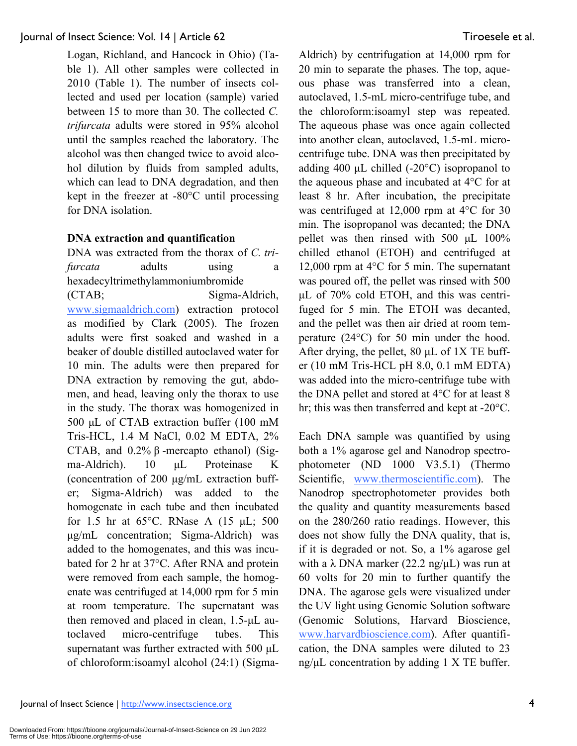Logan, Richland, and Hancock in Ohio) (Table 1). All other samples were collected in 2010 (Table 1). The number of insects collected and used per location (sample) varied between 15 to more than 30. The collected *C. trifurcata* adults were stored in 95% alcohol until the samples reached the laboratory. The alcohol was then changed twice to avoid alcohol dilution by fluids from sampled adults, which can lead to DNA degradation, and then kept in the freezer at -80°C until processing for DNA isolation.

### **DNA extraction and quantification**

DNA was extracted from the thorax of *C. trifurcata* adults using a hexadecyltrimethylammoniumbromide (CTAB; Sigma-Aldrich, www.sigmaaldrich.com) extraction protocol as modified by Clark (2005). The frozen adults were first soaked and washed in a beaker of double distilled autoclaved water for 10 min. The adults were then prepared for DNA extraction by removing the gut, abdomen, and head, leaving only the thorax to use in the study. The thorax was homogenized in 500 µL of CTAB extraction buffer (100 mM Tris-HCL, 1.4 M NaCl, 0.02 M EDTA, 2% CTAB, and  $0.2%$  β -mercapto ethanol) (Sigma-Aldrich). 10 µL Proteinase K (concentration of 200 µg/mL extraction buffer; Sigma-Aldrich) was added to the homogenate in each tube and then incubated for 1.5 hr at 65°C. RNase A (15 µL; 500 µg/mL concentration; Sigma-Aldrich) was added to the homogenates, and this was incubated for 2 hr at 37°C. After RNA and protein were removed from each sample, the homogenate was centrifuged at 14,000 rpm for 5 min at room temperature. The supernatant was then removed and placed in clean, 1.5-µL autoclaved micro-centrifuge tubes. This supernatant was further extracted with 500  $\mu$ L of chloroform:isoamyl alcohol (24:1) (Sigma-

Aldrich) by centrifugation at 14,000 rpm for 20 min to separate the phases. The top, aqueous phase was transferred into a clean, autoclaved, 1.5-mL micro-centrifuge tube, and the chloroform:isoamyl step was repeated. The aqueous phase was once again collected into another clean, autoclaved, 1.5-mL microcentrifuge tube. DNA was then precipitated by adding 400  $\mu$ L chilled (-20 $\degree$ C) isopropanol to the aqueous phase and incubated at 4°C for at least 8 hr. After incubation, the precipitate was centrifuged at 12,000 rpm at 4°C for 30 min. The isopropanol was decanted; the DNA pellet was then rinsed with 500 µL 100% chilled ethanol (ETOH) and centrifuged at 12,000 rpm at 4°C for 5 min. The supernatant was poured off, the pellet was rinsed with 500 µL of 70% cold ETOH, and this was centrifuged for 5 min. The ETOH was decanted, and the pellet was then air dried at room temperature (24°C) for 50 min under the hood. After drying, the pellet,  $80 \mu L$  of 1X TE buffer (10 mM Tris-HCL pH 8.0, 0.1 mM EDTA) was added into the micro-centrifuge tube with the DNA pellet and stored at 4°C for at least 8 hr; this was then transferred and kept at -20°C.

Each DNA sample was quantified by using both a 1% agarose gel and Nanodrop spectrophotometer (ND 1000 V3.5.1) (Thermo Scientific, www.thermoscientific.com). The Nanodrop spectrophotometer provides both the quality and quantity measurements based on the 280/260 ratio readings. However, this does not show fully the DNA quality, that is, if it is degraded or not. So, a 1% agarose gel with a  $\lambda$  DNA marker (22.2 ng/ $\mu$ L) was run at 60 volts for 20 min to further quantify the DNA. The agarose gels were visualized under the UV light using Genomic Solution software (Genomic Solutions, Harvard Bioscience, www.harvardbioscience.com). After quantification, the DNA samples were diluted to 23 ng/µL concentration by adding 1 X TE buffer.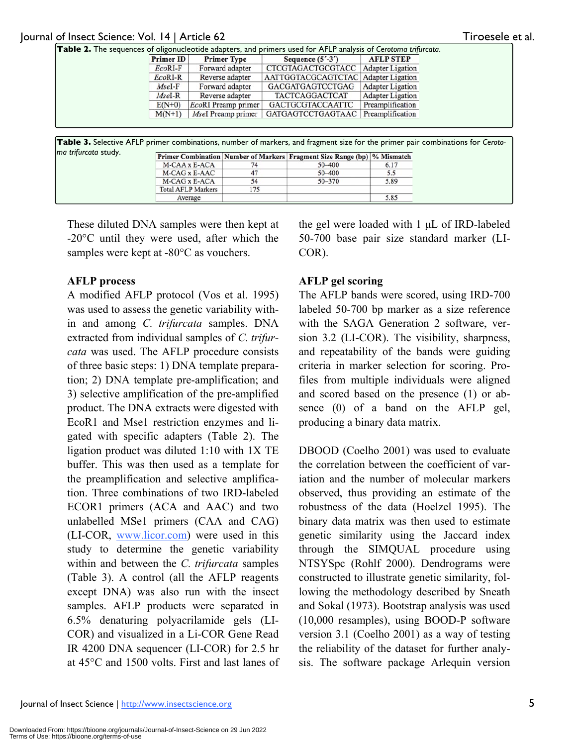| <b>Primer ID</b> | <b>Primer Type</b><br>Sequence $(5^{\prime} - 3^{\prime})$ |                                       | <b>AFLP STEP</b>        |  |
|------------------|------------------------------------------------------------|---------------------------------------|-------------------------|--|
| $EcoRI-F$        | Forward adapter                                            | CTCGTAGACTGCGTACC   Adapter Ligation  |                         |  |
| EcoRI-R          | Reverse adapter                                            | AATTGGTACGCAGTCTAC   Adapter Ligation |                         |  |
| MseI-F           | Forward adapter                                            | <b>GACGATGAGTCCTGAG</b>               | <b>Adapter Ligation</b> |  |
| MseI-R           | Reverse adapter                                            | TACTCAGGACTCAT                        | <b>Adapter Ligation</b> |  |
| $E(N+0)$         | EcoRI Preamp primer                                        | GACTGCGTACCAATTC                      | Preamplification        |  |
| $M(N+1)$         | Msel Preamp primer                                         | <b>GATGAGTCCTGAGTAAC</b>              | Preamplification        |  |
|                  |                                                            |                                       |                         |  |

**Table 3.** Selective AFLP primer combinations, number of markers, and fragment size for the primer pair combinations for *Cerotoma trifurcata* study. Duisseur Countries diese Nouvelous of Mouleure Europeant Cine Donne (bm) | 0/ Missouphe

|                           |     | Primer Combination   Number of Markers   Fragment Size Range (DD)   % Mismatch |      |
|---------------------------|-----|--------------------------------------------------------------------------------|------|
| M-CAA x E-ACA             | 74  | $50 - 400$                                                                     | 6.17 |
| M-CAG x E-AAC             |     | 50 - 400                                                                       | 5.5  |
| M-CAG x E-ACA             | 54  | $50 - 370$                                                                     | 5.89 |
| <b>Total AFLP Markers</b> | 175 |                                                                                |      |
| Average                   |     |                                                                                | 5.85 |

These diluted DNA samples were then kept at -20°C until they were used, after which the samples were kept at -80°C as vouchers.

### **AFLP process**

A modified AFLP protocol (Vos et al. 1995) was used to assess the genetic variability within and among *C. trifurcata* samples. DNA extracted from individual samples of *C. trifurcata* was used. The AFLP procedure consists of three basic steps: 1) DNA template preparation; 2) DNA template pre-amplification; and 3) selective amplification of the pre-amplified product. The DNA extracts were digested with EcoR1 and Mse1 restriction enzymes and ligated with specific adapters (Table 2). The ligation product was diluted 1:10 with 1X TE buffer. This was then used as a template for the preamplification and selective amplification. Three combinations of two IRD-labeled ECOR1 primers (ACA and AAC) and two unlabelled MSe1 primers (CAA and CAG) (LI-COR, www.licor.com) were used in this study to determine the genetic variability within and between the *C. trifurcata* samples (Table 3). A control (all the AFLP reagents except DNA) was also run with the insect samples. AFLP products were separated in 6.5% denaturing polyacrilamide gels (LI-COR) and visualized in a Li-COR Gene Read IR 4200 DNA sequencer (LI-COR) for 2.5 hr at 45°C and 1500 volts. First and last lanes of the gel were loaded with 1 µL of IRD-labeled 50-700 base pair size standard marker (LI-COR).

### **AFLP gel scoring**

The AFLP bands were scored, using IRD-700 labeled 50-700 bp marker as a size reference with the SAGA Generation 2 software, version 3.2 (LI-COR). The visibility, sharpness, and repeatability of the bands were guiding criteria in marker selection for scoring. Profiles from multiple individuals were aligned and scored based on the presence (1) or absence (0) of a band on the AFLP gel, producing a binary data matrix.

DBOOD (Coelho 2001) was used to evaluate the correlation between the coefficient of variation and the number of molecular markers observed, thus providing an estimate of the robustness of the data (Hoelzel 1995). The binary data matrix was then used to estimate genetic similarity using the Jaccard index through the SIMQUAL procedure using NTSYSpc (Rohlf 2000). Dendrograms were constructed to illustrate genetic similarity, following the methodology described by Sneath and Sokal (1973). Bootstrap analysis was used (10,000 resamples), using BOOD-P software version 3.1 (Coelho 2001) as a way of testing the reliability of the dataset for further analysis. The software package Arlequin version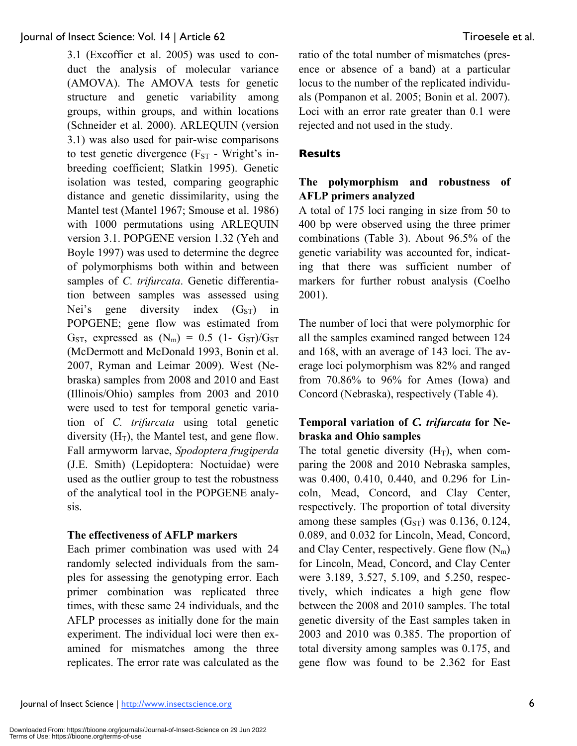3.1 (Excoffier et al. 2005) was used to conduct the analysis of molecular variance (AMOVA). The AMOVA tests for genetic structure and genetic variability among groups, within groups, and within locations (Schneider et al. 2000). ARLEQUIN (version 3.1) was also used for pair-wise comparisons to test genetic divergence  $(F_{ST} - Wright's$  inbreeding coefficient; Slatkin 1995). Genetic isolation was tested, comparing geographic distance and genetic dissimilarity, using the Mantel test (Mantel 1967; Smouse et al. 1986) with 1000 permutations using ARLEQUIN version 3.1. POPGENE version 1.32 (Yeh and Boyle 1997) was used to determine the degree of polymorphisms both within and between samples of *C. trifurcata*. Genetic differentiation between samples was assessed using Nei's gene diversity index  $(G<sub>ST</sub>)$  in POPGENE; gene flow was estimated from  $G<sub>ST</sub>$ , expressed as  $(N<sub>m</sub>)$  = 0.5 (1-  $G<sub>ST</sub>)/G<sub>ST</sub>$ (McDermott and McDonald 1993, Bonin et al. 2007, Ryman and Leimar 2009). West (Nebraska) samples from 2008 and 2010 and East (Illinois/Ohio) samples from 2003 and 2010 were used to test for temporal genetic variation of *C. trifurcata* using total genetic diversity  $(H_T)$ , the Mantel test, and gene flow. Fall armyworm larvae, *Spodoptera frugiperda*  (J.E. Smith) (Lepidoptera: Noctuidae) were used as the outlier group to test the robustness of the analytical tool in the POPGENE analysis.

### **The effectiveness of AFLP markers**

Each primer combination was used with 24 randomly selected individuals from the samples for assessing the genotyping error. Each primer combination was replicated three times, with these same 24 individuals, and the AFLP processes as initially done for the main experiment. The individual loci were then examined for mismatches among the three replicates. The error rate was calculated as the ratio of the total number of mismatches (presence or absence of a band) at a particular locus to the number of the replicated individuals (Pompanon et al. 2005; Bonin et al. 2007). Loci with an error rate greater than 0.1 were rejected and not used in the study.

### **Results**

### **The polymorphism and robustness of AFLP primers analyzed**

A total of 175 loci ranging in size from 50 to 400 bp were observed using the three primer combinations (Table 3). About 96.5% of the genetic variability was accounted for, indicating that there was sufficient number of markers for further robust analysis (Coelho 2001).

The number of loci that were polymorphic for all the samples examined ranged between 124 and 168, with an average of 143 loci. The average loci polymorphism was 82% and ranged from 70.86% to 96% for Ames (Iowa) and Concord (Nebraska), respectively (Table 4).

### **Temporal variation of** *C. trifurcata* **for Nebraska and Ohio samples**

The total genetic diversity  $(H_T)$ , when comparing the 2008 and 2010 Nebraska samples, was 0.400, 0.410, 0.440, and 0.296 for Lincoln, Mead, Concord, and Clay Center, respectively. The proportion of total diversity among these samples  $(G<sub>ST</sub>)$  was 0.136, 0.124, 0.089, and 0.032 for Lincoln, Mead, Concord, and Clay Center, respectively. Gene flow  $(N_m)$ for Lincoln, Mead, Concord, and Clay Center were 3.189, 3.527, 5.109, and 5.250, respectively, which indicates a high gene flow between the 2008 and 2010 samples. The total genetic diversity of the East samples taken in 2003 and 2010 was 0.385. The proportion of total diversity among samples was 0.175, and gene flow was found to be 2.362 for East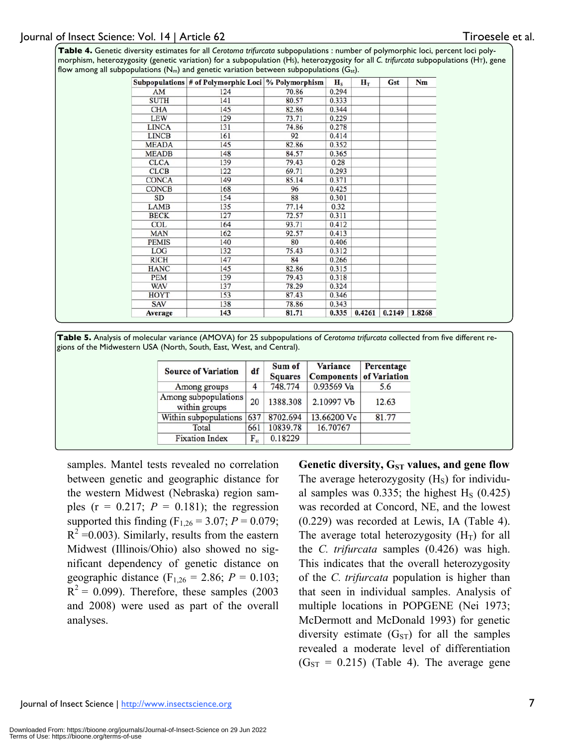**Table 4.** Genetic diversity estimates for all *Cerotoma trifurcata* subpopulations : number of polymorphic loci, percent loci polymorphism, heterozygosity (genetic variation) for a subpopulation (HS), heterozygosity for all *C. trifurcata* subpopulations (HT), gene flow among all subpopulations  $(N_m)$  and genetic variation between subpopulations  $(G_{st})$ .

|              | Subpopulations # of Polymorphic Loci   % Polymorphism |       | $H_s$ | $H_{\rm T}$ | Gst    | Nm     |
|--------------|-------------------------------------------------------|-------|-------|-------------|--------|--------|
| AM           | 124                                                   | 70.86 | 0.294 |             |        |        |
| <b>SUTH</b>  | 141                                                   | 80.57 | 0.333 |             |        |        |
| <b>CHA</b>   | 145                                                   | 82.86 | 0.344 |             |        |        |
| <b>LEW</b>   | 129                                                   | 73.71 | 0.229 |             |        |        |
| <b>LINCA</b> | 131                                                   | 74.86 | 0.278 |             |        |        |
| <b>LINCB</b> | 161                                                   | 92    | 0.414 |             |        |        |
| <b>MEADA</b> | 145                                                   | 82.86 | 0.352 |             |        |        |
| <b>MEADB</b> | 148                                                   | 84.57 | 0.365 |             |        |        |
| <b>CLCA</b>  | 139                                                   | 79.43 | 0.28  |             |        |        |
| <b>CLCB</b>  | 122                                                   | 69.71 | 0.293 |             |        |        |
| <b>CONCA</b> | 149                                                   | 85.14 | 0.371 |             |        |        |
| <b>CONCB</b> | 168                                                   | 96    | 0.425 |             |        |        |
| <b>SD</b>    | 154                                                   | 88    | 0.301 |             |        |        |
| LAMB         | 135                                                   | 77.14 | 0.32  |             |        |        |
| <b>BECK</b>  | 127                                                   | 72.57 | 0.311 |             |        |        |
| <b>COL</b>   | 164                                                   | 93.71 | 0.412 |             |        |        |
| <b>MAN</b>   | 162                                                   | 92.57 | 0.413 |             |        |        |
| <b>PEMIS</b> | 140                                                   | 80    | 0.406 |             |        |        |
| LOG          | 132                                                   | 75.43 | 0.312 |             |        |        |
| <b>RICH</b>  | 147                                                   | 84    | 0.266 |             |        |        |
| <b>HANC</b>  | 145                                                   | 82.86 | 0.315 |             |        |        |
| <b>PEM</b>   | 139                                                   | 79.43 | 0.318 |             |        |        |
| <b>WAV</b>   | 137                                                   | 78.29 | 0.324 |             |        |        |
| <b>HOYT</b>  | 153                                                   | 87.43 | 0.346 |             |        |        |
| <b>SAV</b>   | 138                                                   | 78.86 | 0.343 |             |        |        |
| Average      | 143                                                   | 81.71 | 0.335 | 0.4261      | 0.2149 | 1.8268 |

**Table 5.** Analysis of molecular variance (AMOVA) for 25 subpopulations of *Cerotoma trifurcata* collected from five different regions of the Midwestern USA (North, South, East, West, and Central).

| <b>Source of Variation</b>            | df       | Sum of<br><b>Squares</b> | <b>Variance</b><br><b>Components of Variation</b> | Percentage |
|---------------------------------------|----------|--------------------------|---------------------------------------------------|------------|
| Among groups                          | 4        | 748.774                  | $0.93569$ Va                                      | 5.6        |
| Among subpopulations<br>within groups | 20       | 1388.308                 | 2.10997 Vb                                        | 12.63      |
| Within subpopulations                 | 637      | 8702.694                 | 13.66200 Vc                                       | 81.77      |
| Total                                 | 661      | 10839.78                 | 16.70767                                          |            |
| <b>Fixation Index</b>                 | $F_{st}$ | 0.18229                  |                                                   |            |

samples. Mantel tests revealed no correlation between genetic and geographic distance for the western Midwest (Nebraska) region samples  $(r = 0.217; P = 0.181)$ ; the regression supported this finding (F<sub>1,26</sub> = 3,07; *P* = 0,079;  $R^2$  =0.003). Similarly, results from the eastern Midwest (Illinois/Ohio) also showed no significant dependency of genetic distance on geographic distance  $(F_{1,26} = 2.86; P = 0.103;$  $R^2$  = 0.099). Therefore, these samples (2003) and 2008) were used as part of the overall analyses.

Genetic diversity, G<sub>ST</sub> values, and gene flow The average heterozygosity  $(H<sub>s</sub>)$  for individual samples was  $0.335$ ; the highest H<sub>S</sub>  $(0.425)$ was recorded at Concord, NE, and the lowest (0.229) was recorded at Lewis, IA (Table 4). The average total heterozygosity  $(H_T)$  for all the *C. trifurcata* samples (0.426) was high. This indicates that the overall heterozygosity of the *C. trifurcata* population is higher than that seen in individual samples. Analysis of multiple locations in POPGENE (Nei 1973; McDermott and McDonald 1993) for genetic diversity estimate  $(G_{ST})$  for all the samples revealed a moderate level of differentiation  $(G<sub>ST</sub> = 0.215)$  (Table 4). The average gene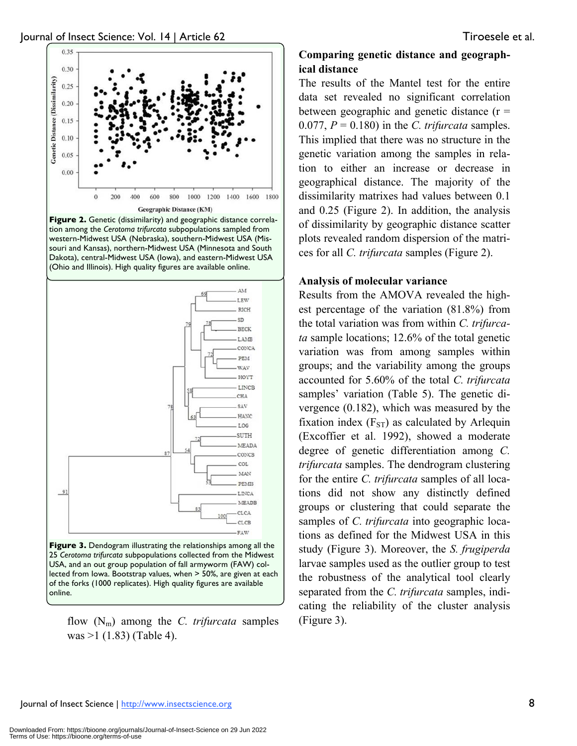





**Figure 3.** Dendogram illustrating the relationships among all the 25 *Cerotoma trifurcata* subpopulations collected from the Midwest USA, and an out group population of fall armyworm (FAW) collected from Iowa. Bootstrap values, when > 50%, are given at each of the forks (1000 replicates). High quality figures are available online.

flow (Nm) among the *C. trifurcata* samples was >1 (1.83) (Table 4).

### **Comparing genetic distance and geographical distance**

The results of the Mantel test for the entire data set revealed no significant correlation between geographic and genetic distance  $(r =$ 0.077,  $P = 0.180$ ) in the *C. trifurcata* samples. This implied that there was no structure in the genetic variation among the samples in relation to either an increase or decrease in geographical distance. The majority of the dissimilarity matrixes had values between 0.1 and 0.25 (Figure 2). In addition, the analysis of dissimilarity by geographic distance scatter plots revealed random dispersion of the matrices for all *C. trifurcata* samples (Figure 2).

#### **Analysis of molecular variance**

Results from the AMOVA revealed the highest percentage of the variation (81.8%) from the total variation was from within *C. trifurcata* sample locations; 12.6% of the total genetic variation was from among samples within groups; and the variability among the groups accounted for 5.60% of the total *C. trifurcata* samples' variation (Table 5). The genetic divergence (0.182), which was measured by the fixation index  $(F_{ST})$  as calculated by Arlequin (Excoffier et al. 1992), showed a moderate degree of genetic differentiation among *C. trifurcata* samples. The dendrogram clustering for the entire *C. trifurcata* samples of all locations did not show any distinctly defined groups or clustering that could separate the samples of *C. trifurcata* into geographic locations as defined for the Midwest USA in this study (Figure 3). Moreover, the *S. frugiperda*  larvae samples used as the outlier group to test the robustness of the analytical tool clearly separated from the *C. trifurcata* samples, indicating the reliability of the cluster analysis (Figure 3).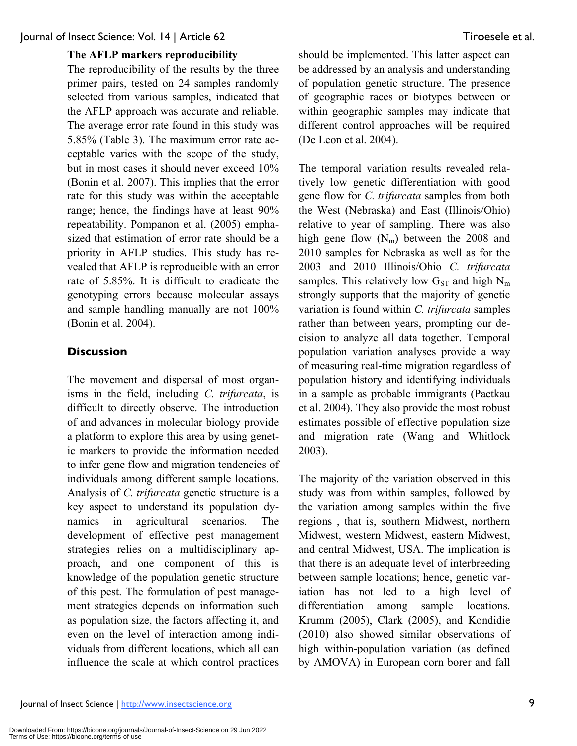### **The AFLP markers reproducibility**

The reproducibility of the results by the three primer pairs, tested on 24 samples randomly selected from various samples, indicated that the AFLP approach was accurate and reliable. The average error rate found in this study was 5.85% (Table 3). The maximum error rate acceptable varies with the scope of the study, but in most cases it should never exceed 10% (Bonin et al. 2007). This implies that the error rate for this study was within the acceptable range; hence, the findings have at least 90% repeatability. Pompanon et al. (2005) emphasized that estimation of error rate should be a priority in AFLP studies. This study has revealed that AFLP is reproducible with an error rate of 5.85%. It is difficult to eradicate the genotyping errors because molecular assays and sample handling manually are not 100% (Bonin et al. 2004).

### **Discussion**

The movement and dispersal of most organisms in the field, including *C. trifurcata*, is difficult to directly observe. The introduction of and advances in molecular biology provide a platform to explore this area by using genetic markers to provide the information needed to infer gene flow and migration tendencies of individuals among different sample locations. Analysis of *C. trifurcata* genetic structure is a key aspect to understand its population dynamics in agricultural scenarios. The development of effective pest management strategies relies on a multidisciplinary approach, and one component of this is knowledge of the population genetic structure of this pest. The formulation of pest management strategies depends on information such as population size, the factors affecting it, and even on the level of interaction among individuals from different locations, which all can influence the scale at which control practices

should be implemented. This latter aspect can be addressed by an analysis and understanding of population genetic structure. The presence of geographic races or biotypes between or within geographic samples may indicate that different control approaches will be required (De Leon et al. 2004).

The temporal variation results revealed relatively low genetic differentiation with good gene flow for *C. trifurcata* samples from both the West (Nebraska) and East (Illinois/Ohio) relative to year of sampling. There was also high gene flow  $(N_m)$  between the 2008 and 2010 samples for Nebraska as well as for the 2003 and 2010 Illinois/Ohio *C. trifurcata* samples. This relatively low  $G<sub>ST</sub>$  and high  $N<sub>m</sub>$ strongly supports that the majority of genetic variation is found within *C. trifurcata* samples rather than between years, prompting our decision to analyze all data together. Temporal population variation analyses provide a way of measuring real-time migration regardless of population history and identifying individuals in a sample as probable immigrants (Paetkau et al. 2004). They also provide the most robust estimates possible of effective population size and migration rate (Wang and Whitlock 2003).

The majority of the variation observed in this study was from within samples, followed by the variation among samples within the five regions , that is, southern Midwest, northern Midwest, western Midwest, eastern Midwest, and central Midwest, USA. The implication is that there is an adequate level of interbreeding between sample locations; hence, genetic variation has not led to a high level of differentiation among sample locations. Krumm (2005), Clark (2005), and Kondidie (2010) also showed similar observations of high within-population variation (as defined by AMOVA) in European corn borer and fall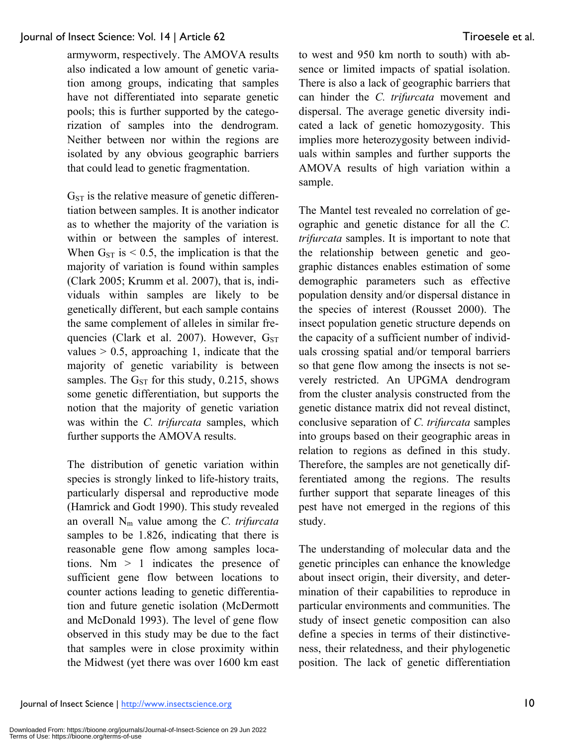armyworm, respectively. The AMOVA results also indicated a low amount of genetic variation among groups, indicating that samples have not differentiated into separate genetic pools; this is further supported by the categorization of samples into the dendrogram. Neither between nor within the regions are isolated by any obvious geographic barriers that could lead to genetic fragmentation.

 $G<sub>ST</sub>$  is the relative measure of genetic differentiation between samples. It is another indicator as to whether the majority of the variation is within or between the samples of interest. When  $G_{ST}$  is < 0.5, the implication is that the majority of variation is found within samples (Clark 2005; Krumm et al. 2007), that is, individuals within samples are likely to be genetically different, but each sample contains the same complement of alleles in similar frequencies (Clark et al. 2007). However,  $G<sub>ST</sub>$ values  $> 0.5$ , approaching 1, indicate that the majority of genetic variability is between samples. The  $G<sub>ST</sub>$  for this study, 0.215, shows some genetic differentiation, but supports the notion that the majority of genetic variation was within the *C. trifurcata* samples, which further supports the AMOVA results.

The distribution of genetic variation within species is strongly linked to life-history traits, particularly dispersal and reproductive mode (Hamrick and Godt 1990). This study revealed an overall  $N_m$  value among the *C. trifurcata* samples to be 1.826, indicating that there is reasonable gene flow among samples locations. Nm > 1 indicates the presence of sufficient gene flow between locations to counter actions leading to genetic differentiation and future genetic isolation (McDermott and McDonald 1993). The level of gene flow observed in this study may be due to the fact that samples were in close proximity within the Midwest (yet there was over 1600 km east

to west and 950 km north to south) with absence or limited impacts of spatial isolation. There is also a lack of geographic barriers that can hinder the *C. trifurcata* movement and dispersal. The average genetic diversity indicated a lack of genetic homozygosity. This implies more heterozygosity between individuals within samples and further supports the AMOVA results of high variation within a sample.

The Mantel test revealed no correlation of geographic and genetic distance for all the *C. trifurcata* samples. It is important to note that the relationship between genetic and geographic distances enables estimation of some demographic parameters such as effective population density and/or dispersal distance in the species of interest (Rousset 2000). The insect population genetic structure depends on the capacity of a sufficient number of individuals crossing spatial and/or temporal barriers so that gene flow among the insects is not severely restricted. An UPGMA dendrogram from the cluster analysis constructed from the genetic distance matrix did not reveal distinct, conclusive separation of *C. trifurcata* samples into groups based on their geographic areas in relation to regions as defined in this study. Therefore, the samples are not genetically differentiated among the regions. The results further support that separate lineages of this pest have not emerged in the regions of this study.

The understanding of molecular data and the genetic principles can enhance the knowledge about insect origin, their diversity, and determination of their capabilities to reproduce in particular environments and communities. The study of insect genetic composition can also define a species in terms of their distinctiveness, their relatedness, and their phylogenetic position. The lack of genetic differentiation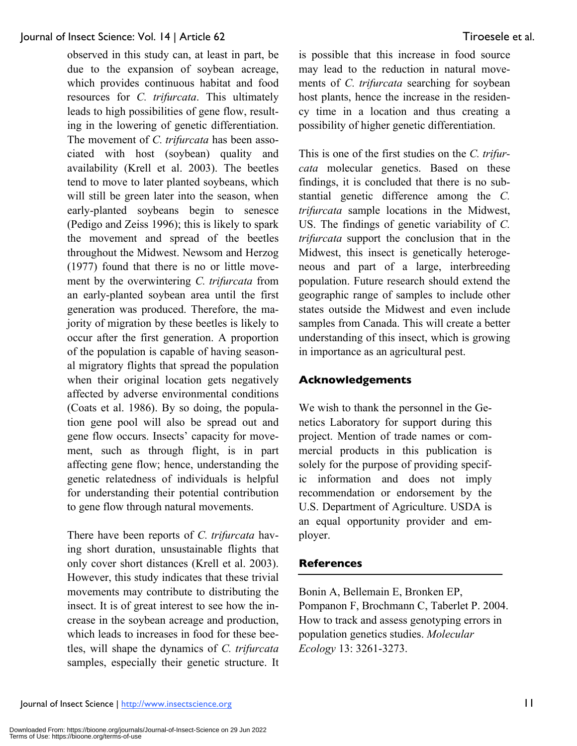observed in this study can, at least in part, be due to the expansion of soybean acreage, which provides continuous habitat and food resources for *C. trifurcata*. This ultimately leads to high possibilities of gene flow, resulting in the lowering of genetic differentiation. The movement of *C. trifurcata* has been associated with host (soybean) quality and availability (Krell et al. 2003). The beetles tend to move to later planted soybeans, which will still be green later into the season, when early-planted soybeans begin to senesce (Pedigo and Zeiss 1996); this is likely to spark the movement and spread of the beetles throughout the Midwest. Newsom and Herzog (1977) found that there is no or little movement by the overwintering *C. trifurcata* from an early-planted soybean area until the first generation was produced. Therefore, the majority of migration by these beetles is likely to occur after the first generation. A proportion of the population is capable of having seasonal migratory flights that spread the population when their original location gets negatively affected by adverse environmental conditions (Coats et al. 1986). By so doing, the population gene pool will also be spread out and gene flow occurs. Insects' capacity for movement, such as through flight, is in part affecting gene flow; hence, understanding the genetic relatedness of individuals is helpful for understanding their potential contribution to gene flow through natural movements.

There have been reports of *C. trifurcata* having short duration, unsustainable flights that only cover short distances (Krell et al. 2003). However, this study indicates that these trivial movements may contribute to distributing the insect. It is of great interest to see how the increase in the soybean acreage and production, which leads to increases in food for these beetles, will shape the dynamics of *C. trifurcata* samples, especially their genetic structure. It is possible that this increase in food source may lead to the reduction in natural movements of *C. trifurcata* searching for soybean host plants, hence the increase in the residency time in a location and thus creating a possibility of higher genetic differentiation.

This is one of the first studies on the *C. trifurcata* molecular genetics. Based on these findings, it is concluded that there is no substantial genetic difference among the *C. trifurcata* sample locations in the Midwest, US. The findings of genetic variability of *C. trifurcata* support the conclusion that in the Midwest, this insect is genetically heterogeneous and part of a large, interbreeding population. Future research should extend the geographic range of samples to include other states outside the Midwest and even include samples from Canada. This will create a better understanding of this insect, which is growing in importance as an agricultural pest.

### **Acknowledgements**

We wish to thank the personnel in the Genetics Laboratory for support during this project. Mention of trade names or commercial products in this publication is solely for the purpose of providing specific information and does not imply recommendation or endorsement by the U.S. Department of Agriculture. USDA is an equal opportunity provider and employer.

### **References**

Bonin A, Bellemain E, Bronken EP, Pompanon F, Brochmann C, Taberlet P. 2004. How to track and assess genotyping errors in population genetics studies. *Molecular Ecology* 13: 3261-3273.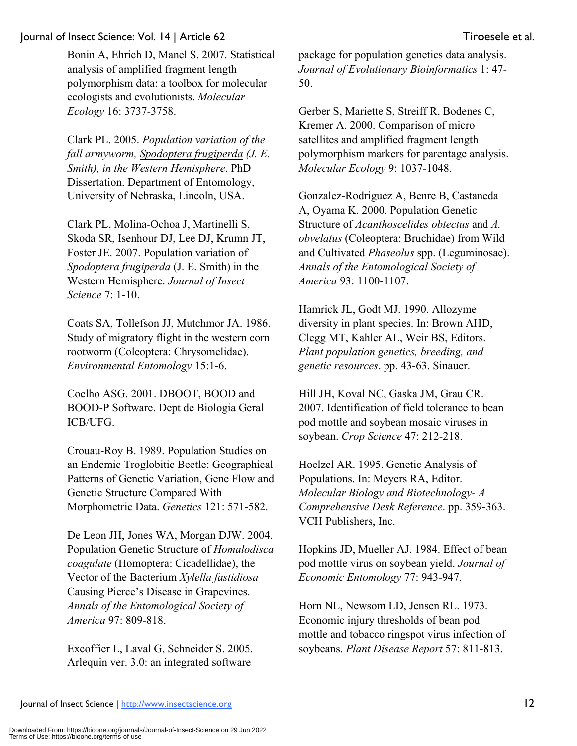Bonin A, Ehrich D, Manel S. 2007. Statistical analysis of amplified fragment length polymorphism data: a toolbox for molecular ecologists and evolutionists. *Molecular Ecology* 16: 3737-3758.

Clark PL. 2005. *Population variation of the fall armyworm, Spodoptera frugiperda (J. E. Smith), in the Western Hemisphere*. PhD Dissertation. Department of Entomology, University of Nebraska, Lincoln, USA.

Clark PL, Molina-Ochoa J, Martinelli S, Skoda SR, Isenhour DJ, Lee DJ, Krumn JT, Foster JE. 2007. Population variation of *Spodoptera frugiperda* (J. E. Smith) in the Western Hemisphere. *Journal of Insect Science* 7: 1-10.

Coats SA, Tollefson JJ, Mutchmor JA. 1986. Study of migratory flight in the western corn rootworm (Coleoptera: Chrysomelidae). *Environmental Entomology* 15:1-6.

Coelho ASG. 2001. DBOOT, BOOD and BOOD-P Software. Dept de Biologia Geral ICB/UFG.

Crouau-Roy B. 1989. Population Studies on an Endemic Troglobitic Beetle: Geographical Patterns of Genetic Variation, Gene Flow and Genetic Structure Compared With Morphometric Data. *Genetics* 121: 571-582.

De Leon JH, Jones WA, Morgan DJW. 2004. Population Genetic Structure of *Homalodisca coagulate* (Homoptera: Cicadellidae), the Vector of the Bacterium *Xylella fastidiosa*  Causing Pierce's Disease in Grapevines. *Annals of the Entomological Society of America* 97: 809-818.

Excoffier L, Laval G, Schneider S. 2005. Arlequin ver. 3.0: an integrated software package for population genetics data analysis. *Journal of Evolutionary Bioinformatics* 1: 47- 50.

Gerber S, Mariette S, Streiff R, Bodenes C, Kremer A. 2000. Comparison of micro satellites and amplified fragment length polymorphism markers for parentage analysis. *Molecular Ecology* 9: 1037-1048.

Gonzalez-Rodriguez A, Benre B, Castaneda A, Oyama K. 2000. Population Genetic Structure of *Acanthoscelides obtectus* and *A. obvelatus* (Coleoptera: Bruchidae) from Wild and Cultivated *Phaseolus* spp. (Leguminosae). *Annals of the Entomological Society of America* 93: 1100-1107.

Hamrick JL, Godt MJ. 1990. Allozyme diversity in plant species. In: Brown AHD, Clegg MT, Kahler AL, Weir BS, Editors. *Plant population genetics, breeding, and genetic resources*. pp. 43-63. Sinauer.

Hill JH, Koval NC, Gaska JM, Grau CR. 2007. Identification of field tolerance to bean pod mottle and soybean mosaic viruses in soybean. *Crop Science* 47: 212-218.

Hoelzel AR. 1995. Genetic Analysis of Populations. In: Meyers RA, Editor. *Molecular Biology and Biotechnology- A Comprehensive Desk Reference*. pp. 359-363. VCH Publishers, Inc.

Hopkins JD, Mueller AJ. 1984. Effect of bean pod mottle virus on soybean yield. *Journal of Economic Entomology* 77: 943-947.

Horn NL, Newsom LD, Jensen RL. 1973. Economic injury thresholds of bean pod mottle and tobacco ringspot virus infection of soybeans. *Plant Disease Report* 57: 811-813.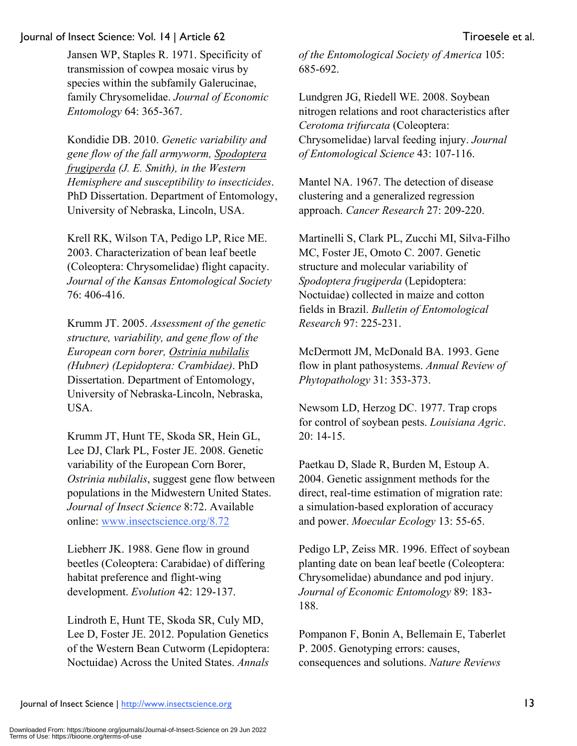Jansen WP, Staples R. 1971. Specificity of transmission of cowpea mosaic virus by species within the subfamily Galerucinae, family Chrysomelidae. *Journal of Economic Entomology* 64: 365-367.

Kondidie DB. 2010. *Genetic variability and gene flow of the fall armyworm, Spodoptera frugiperda (J. E. Smith), in the Western Hemisphere and susceptibility to insecticides*. PhD Dissertation. Department of Entomology, University of Nebraska, Lincoln, USA.

Krell RK, Wilson TA, Pedigo LP, Rice ME. 2003. Characterization of bean leaf beetle (Coleoptera: Chrysomelidae) flight capacity. *Journal of the Kansas Entomological Society* 76: 406-416.

Krumm JT. 2005. *Assessment of the genetic structure, variability, and gene flow of the European corn borer, Ostrinia nubilalis (Hubner) (Lepidoptera: Crambidae)*. PhD Dissertation. Department of Entomology, University of Nebraska-Lincoln, Nebraska, USA.

Krumm JT, Hunt TE, Skoda SR, Hein GL, Lee DJ, Clark PL, Foster JE. 2008. Genetic variability of the European Corn Borer, *Ostrinia nubilalis*, suggest gene flow between populations in the Midwestern United States. *Journal of Insect Science* 8:72. Available online: www.insectscience.org/8.72

Liebherr JK. 1988. Gene flow in ground beetles (Coleoptera: Carabidae) of differing habitat preference and flight-wing development. *Evolution* 42: 129-137.

Lindroth E, Hunt TE, Skoda SR, Culy MD, Lee D, Foster JE. 2012. Population Genetics of the Western Bean Cutworm (Lepidoptera: Noctuidae) Across the United States. *Annals*  *of the Entomological Society of America* 105: 685-692.

Lundgren JG, Riedell WE. 2008. Soybean nitrogen relations and root characteristics after *Cerotoma trifurcata* (Coleoptera: Chrysomelidae) larval feeding injury. *Journal of Entomological Science* 43: 107-116.

Mantel NA. 1967. The detection of disease clustering and a generalized regression approach. *Cancer Research* 27: 209-220.

Martinelli S, Clark PL, Zucchi MI, Silva-Filho MC, Foster JE, Omoto C. 2007. Genetic structure and molecular variability of *Spodoptera frugiperda* (Lepidoptera: Noctuidae) collected in maize and cotton fields in Brazil. *Bulletin of Entomological Research* 97: 225-231.

McDermott JM, McDonald BA. 1993. Gene flow in plant pathosystems. *Annual Review of Phytopathology* 31: 353-373.

Newsom LD, Herzog DC. 1977. Trap crops for control of soybean pests. *Louisiana Agric*. 20: 14-15.

Paetkau D, Slade R, Burden M, Estoup A. 2004. Genetic assignment methods for the direct, real-time estimation of migration rate: a simulation-based exploration of accuracy and power. *Moecular Ecology* 13: 55-65.

Pedigo LP, Zeiss MR. 1996. Effect of soybean planting date on bean leaf beetle (Coleoptera: Chrysomelidae) abundance and pod injury. *Journal of Economic Entomology* 89: 183- 188.

Pompanon F, Bonin A, Bellemain E, Taberlet P. 2005. Genotyping errors: causes, consequences and solutions. *Nature Reviews*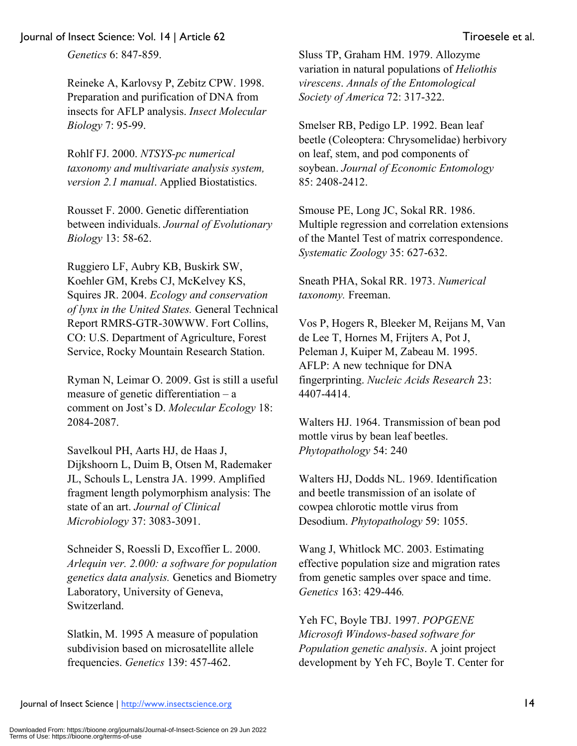*Genetics* 6: 847-859.

Reineke A, Karlovsy P, Zebitz CPW. 1998. Preparation and purification of DNA from insects for AFLP analysis. *Insect Molecular Biology* 7: 95-99.

Rohlf FJ. 2000. *NTSYS-pc numerical taxonomy and multivariate analysis system, version 2.1 manual*. Applied Biostatistics.

Rousset F. 2000. Genetic differentiation between individuals. *Journal of Evolutionary Biology* 13: 58-62.

Ruggiero LF, Aubry KB, Buskirk SW, Koehler GM, Krebs CJ, McKelvey KS, Squires JR. 2004. *Ecology and conservation of lynx in the United States.* General Technical Report RMRS-GTR-30WWW. Fort Collins, CO: U.S. Department of Agriculture, Forest Service, Rocky Mountain Research Station.

Ryman N, Leimar O. 2009. Gst is still a useful measure of genetic differentiation – a comment on Jost's D. *Molecular Ecology* 18: 2084-2087.

Savelkoul PH, Aarts HJ, de Haas J, Dijkshoorn L, Duim B, Otsen M, Rademaker JL, Schouls L, Lenstra JA. 1999. Amplified fragment length polymorphism analysis: The state of an art. *Journal of Clinical Microbiology* 37: 3083-3091.

Schneider S, Roessli D, Excoffier L. 2000. *Arlequin ver. 2.000: a software for population genetics data analysis.* Genetics and Biometry Laboratory, University of Geneva, Switzerland.

Slatkin, M. 1995 A measure of population subdivision based on microsatellite allele frequencies. *Genetics* 139: 457-462.

Sluss TP, Graham HM. 1979. Allozyme variation in natural populations of *Heliothis virescens*. *Annals of the Entomological Society of America* 72: 317-322.

Smelser RB, Pedigo LP. 1992. Bean leaf beetle (Coleoptera: Chrysomelidae) herbivory on leaf, stem, and pod components of soybean. *Journal of Economic Entomology* 85: 2408-2412.

Smouse PE, Long JC, Sokal RR. 1986. Multiple regression and correlation extensions of the Mantel Test of matrix correspondence. *Systematic Zoology* 35: 627-632.

Sneath PHA, Sokal RR. 1973. *Numerical taxonomy.* Freeman.

Vos P, Hogers R, Bleeker M, Reijans M, Van de Lee T, Hornes M, Frijters A, Pot J, Peleman J, Kuiper M, Zabeau M. 1995. AFLP: A new technique for DNA fingerprinting. *Nucleic Acids Research* 23: 4407-4414.

Walters HJ. 1964. Transmission of bean pod mottle virus by bean leaf beetles. *Phytopathology* 54: 240

Walters HJ, Dodds NL. 1969. Identification and beetle transmission of an isolate of cowpea chlorotic mottle virus from Desodium. *Phytopathology* 59: 1055.

Wang J, Whitlock MC. 2003. Estimating effective population size and migration rates from genetic samples over space and time. *Genetics* 163: 429-446*.*

Yeh FC, Boyle TBJ. 1997. *POPGENE Microsoft Windows-based software for Population genetic analysis*. A joint project development by Yeh FC, Boyle T. Center for